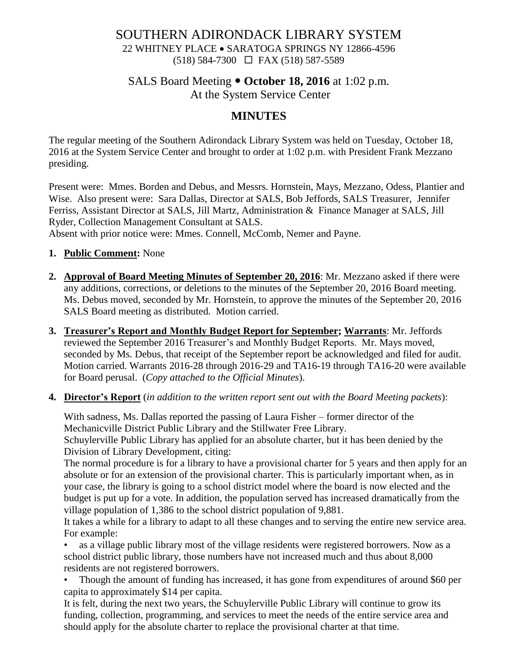# SOUTHERN ADIRONDACK LIBRARY SYSTEM 22 WHITNEY PLACE • SARATOGA SPRINGS NY 12866-4596

(518) 584-7300 FAX (518) 587-5589

## SALS Board Meeting  $\bullet$  October 18, 2016 at 1:02 p.m. At the System Service Center

## **MINUTES**

The regular meeting of the Southern Adirondack Library System was held on Tuesday, October 18, 2016 at the System Service Center and brought to order at 1:02 p.m. with President Frank Mezzano presiding.

Present were: Mmes. Borden and Debus, and Messrs. Hornstein, Mays, Mezzano, Odess, Plantier and Wise. Also present were: Sara Dallas, Director at SALS, Bob Jeffords, SALS Treasurer, Jennifer Ferriss, Assistant Director at SALS, Jill Martz, Administration & Finance Manager at SALS, Jill Ryder, Collection Management Consultant at SALS.

Absent with prior notice were: Mmes. Connell, McComb, Nemer and Payne.

#### **1. Public Comment:** None

- **2. Approval of Board Meeting Minutes of September 20, 2016**: Mr. Mezzano asked if there were any additions, corrections, or deletions to the minutes of the September 20, 2016 Board meeting. Ms. Debus moved, seconded by Mr. Hornstein, to approve the minutes of the September 20, 2016 SALS Board meeting as distributed. Motion carried.
- **3. Treasurer's Report and Monthly Budget Report for September; Warrants**: Mr. Jeffords reviewed the September 2016 Treasurer's and Monthly Budget Reports. Mr. Mays moved, seconded by Ms. Debus, that receipt of the September report be acknowledged and filed for audit. Motion carried. Warrants 2016-28 through 2016-29 and TA16-19 through TA16-20 were available for Board perusal. (*Copy attached to the Official Minutes*).
- **4. Director's Report** (*in addition to the written report sent out with the Board Meeting packets*):

With sadness, Ms. Dallas reported the passing of Laura Fisher – former director of the Mechanicville District Public Library and the Stillwater Free Library. Schuylerville Public Library has applied for an absolute charter, but it has been denied by the Division of Library Development, citing:

The normal procedure is for a library to have a provisional charter for 5 years and then apply for an absolute or for an extension of the provisional charter. This is particularly important when, as in your case, the library is going to a school district model where the board is now elected and the budget is put up for a vote. In addition, the population served has increased dramatically from the village population of 1,386 to the school district population of 9,881.

It takes a while for a library to adapt to all these changes and to serving the entire new service area. For example:

• as a village public library most of the village residents were registered borrowers. Now as a school district public library, those numbers have not increased much and thus about 8,000 residents are not registered borrowers.

• Though the amount of funding has increased, it has gone from expenditures of around \$60 per capita to approximately \$14 per capita.

It is felt, during the next two years, the Schuylerville Public Library will continue to grow its funding, collection, programming, and services to meet the needs of the entire service area and should apply for the absolute charter to replace the provisional charter at that time.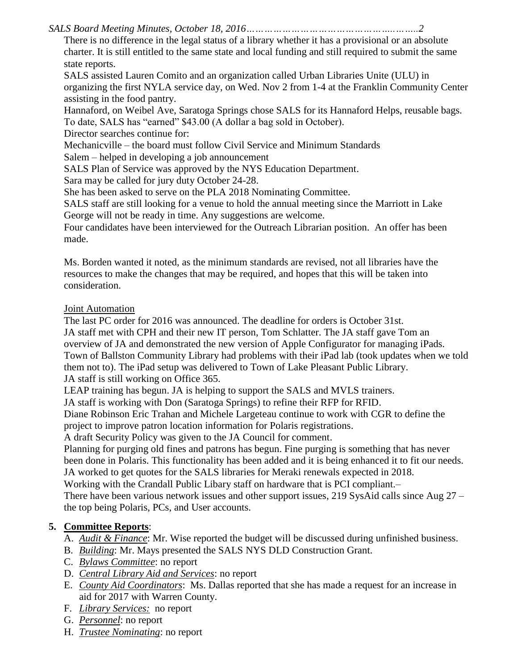*SALS Board Meeting Minutes, October 18, 2016…………………………………………..……..2*

There is no difference in the legal status of a library whether it has a provisional or an absolute charter. It is still entitled to the same state and local funding and still required to submit the same state reports.

SALS assisted Lauren Comito and an organization called Urban Libraries Unite (ULU) in organizing the first NYLA service day, on Wed. Nov 2 from 1-4 at the Franklin Community Center assisting in the food pantry.

Hannaford, on Weibel Ave, Saratoga Springs chose SALS for its Hannaford Helps, reusable bags. To date, SALS has "earned" \$43.00 (A dollar a bag sold in October).

Director searches continue for:

Mechanicville – the board must follow Civil Service and Minimum Standards

Salem – helped in developing a job announcement

SALS Plan of Service was approved by the NYS Education Department.

Sara may be called for jury duty October 24-28.

She has been asked to serve on the PLA 2018 Nominating Committee.

SALS staff are still looking for a venue to hold the annual meeting since the Marriott in Lake George will not be ready in time. Any suggestions are welcome.

Four candidates have been interviewed for the Outreach Librarian position. An offer has been made.

Ms. Borden wanted it noted, as the minimum standards are revised, not all libraries have the resources to make the changes that may be required, and hopes that this will be taken into consideration.

## Joint Automation

The last PC order for 2016 was announced. The deadline for orders is October 31st. JA staff met with CPH and their new IT person, Tom Schlatter. The JA staff gave Tom an overview of JA and demonstrated the new version of Apple Configurator for managing iPads. Town of Ballston Community Library had problems with their iPad lab (took updates when we told them not to). The iPad setup was delivered to Town of Lake Pleasant Public Library. JA staff is still working on Office 365.

LEAP training has begun. JA is helping to support the SALS and MVLS trainers.

JA staff is working with Don (Saratoga Springs) to refine their RFP for RFID.

Diane Robinson Eric Trahan and Michele Largeteau continue to work with CGR to define the project to improve patron location information for Polaris registrations.

A draft Security Policy was given to the JA Council for comment.

Planning for purging old fines and patrons has begun. Fine purging is something that has never been done in Polaris. This functionality has been added and it is being enhanced it to fit our needs. JA worked to get quotes for the SALS libraries for Meraki renewals expected in 2018.

Working with the Crandall Public Libary staff on hardware that is PCI compliant.–

There have been various network issues and other support issues, 219 SysAid calls since Aug 27 – the top being Polaris, PCs, and User accounts.

# **5. Committee Reports**:

A. *Audit & Finance*: Mr. Wise reported the budget will be discussed during unfinished business.

- B. *Building*: Mr. Mays presented the SALS NYS DLD Construction Grant.
- C. *Bylaws Committee*: no report
- D. *Central Library Aid and Services*: no report
- E. *County Aid Coordinators*: Ms. Dallas reported that she has made a request for an increase in aid for 2017 with Warren County.
- F. *Library Services:* no report
- G. *Personnel*: no report
- H. *Trustee Nominating*: no report